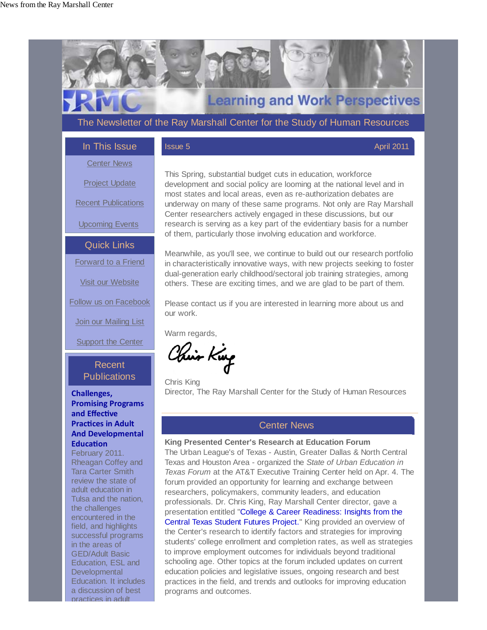field, and highlights successful programs in the areas of GED/Adult Basic Education, ESL and **Developmental** Education. It includes a discussion of best practices in adult



Central Texas Student Futures Project." King provided an overview of the Center's research to identify factors and strategies for improving students' college enrollment and completion rates, as well as strategies to improve employment outcomes for individuals beyond traditional schooling age. Other topics at the forum included updates on current education policies and legislative issues, ongoing research and best practices in the field, and trends and outlooks for improving education programs and outcomes.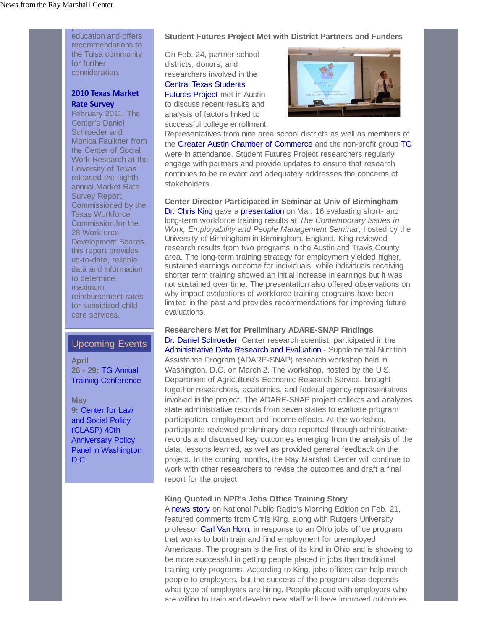education and offers recommendations to the Tulsa community for further consideration.

practices in adult

## **2010 Texas Market Rate Survey**

February 2011. The Center's Daniel Schroeder and Monica Faulkner from the Center of Social Work Research at the University of Texas released the eighth annual Market Rate Survey Report. Commissioned by the Texas Workforce Commission for the 28 Workforce Development Boards, this report provides up-to-date, reliable data and information to determine maximum reimbursement rates for subsidized child care services.

## Upcoming Events

**April 26 - 29:** TG Annual Training Conference

**May 9:** Center for Law and Social Policy (CLASP) 40th Anniversary Policy Panel in Washington D.C.

#### **Student Futures Project Met with District Partners and Funders**

On Feb. 24, partner school districts, donors, and researchers involved in the Central Texas Students

Futures Project met in Austin to discuss recent results and analysis of factors linked to successful college enrollment.



Representatives from nine area school districts as well as members of the Greater Austin Chamber of Commerce and the non-profit group TG were in attendance. Student Futures Project researchers regularly engage with partners and provide updates to ensure that research continues to be relevant and adequately addresses the concerns of stakeholders.

**Center Director Participated in Seminar at Univ of Birmingham** Dr. Chris King gave a presentation on Mar. 16 evaluating short- and long-term workforce training results at *The Contemporary Issues in Work, Employability and People Management Seminar*, hosted by the University of Birmingham in Birmingham, England. King reviewed research results from two programs in the Austin and Travis County area. The long-term training strategy for employment yielded higher, sustained earnings outcome for individuals, while individuals receiving shorter term training showed an initial increase in earnings but it was not sustained over time. The presentation also offered observations on why impact evaluations of workforce training programs have been limited in the past and provides recommendations for improving future evaluations.

**Researchers Met for Preliminary ADARE-SNAP Findings**  Dr. Daniel Schroeder, Center research scientist, participated in the Administrative Data Research and Evaluation - Supplemental Nutrition Assistance Program (ADARE-SNAP) research workshop held in Washington, D.C. on March 2. The workshop, hosted by the U.S. Department of Agriculture's Economic Research Service, brought together researchers, academics, and federal agency representatives involved in the project. The ADARE-SNAP project collects and analyzes state administrative records from seven states to evaluate program participation, employment and income effects. At the workshop, participants reviewed preliminary data reported through administrative records and discussed key outcomes emerging from the analysis of the data, lessons learned, as well as provided general feedback on the project. In the coming months, the Ray Marshall Center will continue to work with other researchers to revise the outcomes and draft a final report for the project.

#### **King Quoted in NPR's Jobs Office Training Story**

A news story on National Public Radio's Morning Edition on Feb. 21, featured comments from Chris King, along with Rutgers University professor Carl Van Horn, in response to an Ohio jobs office program that works to both train and find employment for unemployed Americans. The program is the first of its kind in Ohio and is showing to be more successful in getting people placed in jobs than traditional training-only programs. According to King, jobs offices can help match people to employers, but the success of the program also depends what type of employers are hiring. People placed with employers who are willing to train and develop new staff will have improved outcomes